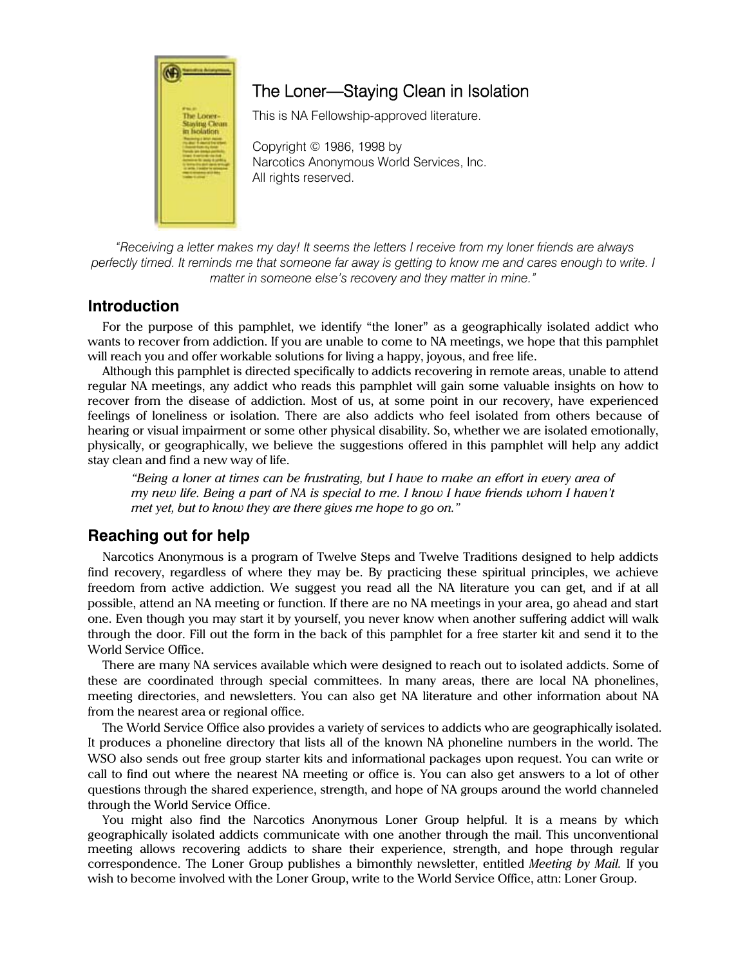

# The Loner—Staying Clean in Isolation

This is NA Fellowship-approved literature.

Copyright © 1986, 1998 by Narcotics Anonymous World Services, Inc. All rights reserved.

 *"Receiving a letter makes my day! It seems the letters I receive from my loner friends are always perfectly timed. It reminds me that someone far away is getting to know me and cares enough to write. I matter in someone else's recovery and they matter in mine."* 

## **Introduction**

For the purpose of this pamphlet, we identify "the loner" as a geographically isolated addict who wants to recover from addiction. If you are unable to come to NA meetings, we hope that this pamphlet will reach you and offer workable solutions for living a happy, joyous, and free life.

Although this pamphlet is directed specifically to addicts recovering in remote areas, unable to attend regular NA meetings, any addict who reads this pamphlet will gain some valuable insights on how to recover from the disease of addiction. Most of us, at some point in our recovery, have experienced feelings of loneliness or isolation. There are also addicts who feel isolated from others because of hearing or visual impairment or some other physical disability. So, whether we are isolated emotionally, physically, or geographically, we believe the suggestions offered in this pamphlet will help any addict stay clean and find a new way of life.

*"Being a loner at times can be frustrating, but I have to make an effort in every area of my new life. Being a part of NA is special to me. I know I have friends whom I haven't met yet, but to know they are there gives me hope to go on."* 

## **Reaching out for help**

Narcotics Anonymous is a program of Twelve Steps and Twelve Traditions designed to help addicts find recovery, regardless of where they may be. By practicing these spiritual principles, we achieve freedom from active addiction. We suggest you read all the NA literature you can get, and if at all possible, attend an NA meeting or function. If there are no NA meetings in your area, go ahead and start one. Even though you may start it by yourself, you never know when another suffering addict will walk through the door. Fill out the form in the back of this pamphlet for a free starter kit and send it to the World Service Office.

There are many NA services available which were designed to reach out to isolated addicts. Some of these are coordinated through special committees. In many areas, there are local NA phonelines, meeting directories, and newsletters. You can also get NA literature and other information about NA from the nearest area or regional office.

The World Service Office also provides a variety of services to addicts who are geographically isolated. It produces a phoneline directory that lists all of the known NA phoneline numbers in the world. The WSO also sends out free group starter kits and informational packages upon request. You can write or call to find out where the nearest NA meeting or office is. You can also get answers to a lot of other questions through the shared experience, strength, and hope of NA groups around the world channeled through the World Service Office.

You might also find the Narcotics Anonymous Loner Group helpful. It is a means by which geographically isolated addicts communicate with one another through the mail. This unconventional meeting allows recovering addicts to share their experience, strength, and hope through regular correspondence. The Loner Group publishes a bimonthly newsletter, entitled *Meeting by Mail.* If you wish to become involved with the Loner Group, write to the World Service Office, attn: Loner Group.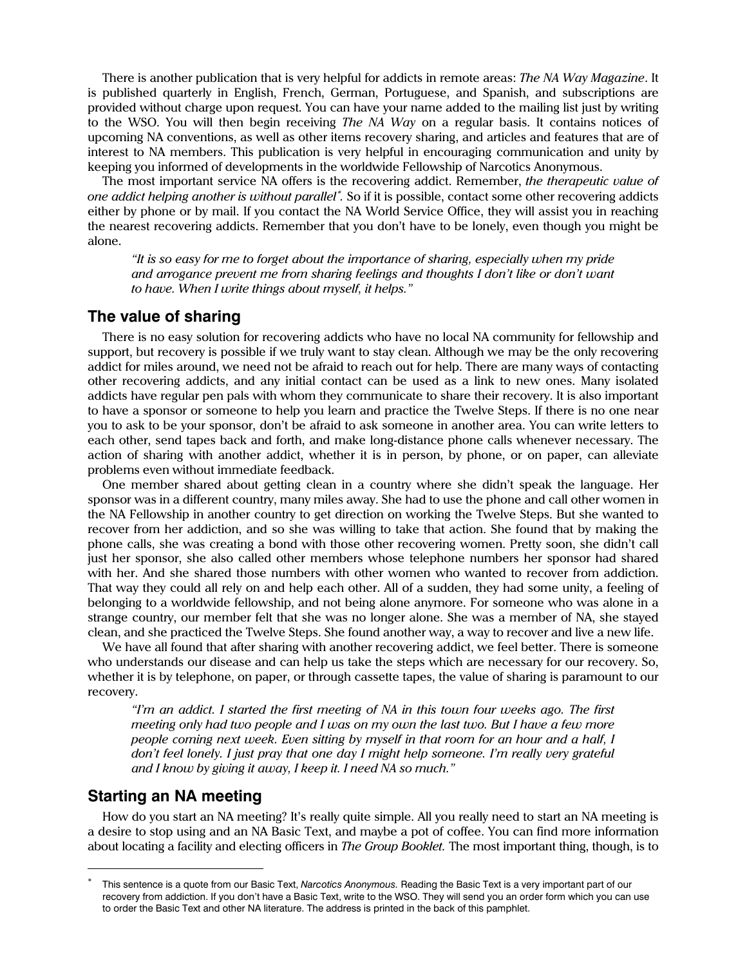There is another publication that is very helpful for addicts in remote areas: *The NA Way Magazine*. It is published quarterly in English, French, German, Portuguese, and Spanish, and subscriptions are provided without charge upon request. You can have your name added to the mailing list just by writing to the WSO. You will then begin receiving *The NA Way* on a regular basis. It contains notices of upcoming NA conventions, as well as other items recovery sharing, and articles and features that are of interest to NA members. This publication is very helpful in encouraging communication and unity by keeping you informed of developments in the worldwide Fellowship of Narcotics Anonymous.

The most important service NA offers is the recovering addict. Remember, *the therapeutic value of one addict helping another is without parallel<sup>∗</sup>. So if it is possible, contact some other recovering addicts* either by phone or by mail. If you contact the NA World Service Office, they will assist you in reaching the nearest recovering addicts. Remember that you don't have to be lonely, even though you might be alone.

*"It is so easy for me to forget about the importance of sharing, especially when my pride and arrogance prevent me from sharing feelings and thoughts I don't like or don't want to have. When I write things about myself, it helps."* 

#### **The value of sharing**

There is no easy solution for recovering addicts who have no local NA community for fellowship and support, but recovery is possible if we truly want to stay clean. Although we may be the only recovering addict for miles around, we need not be afraid to reach out for help. There are many ways of contacting other recovering addicts, and any initial contact can be used as a link to new ones. Many isolated addicts have regular pen pals with whom they communicate to share their recovery. It is also important to have a sponsor or someone to help you learn and practice the Twelve Steps. If there is no one near you to ask to be your sponsor, don't be afraid to ask someone in another area. You can write letters to each other, send tapes back and forth, and make long-distance phone calls whenever necessary. The action of sharing with another addict, whether it is in person, by phone, or on paper, can alleviate problems even without immediate feedback.

One member shared about getting clean in a country where she didn't speak the language. Her sponsor was in a different country, many miles away. She had to use the phone and call other women in the NA Fellowship in another country to get direction on working the Twelve Steps. But she wanted to recover from her addiction, and so she was willing to take that action. She found that by making the phone calls, she was creating a bond with those other recovering women. Pretty soon, she didn't call just her sponsor, she also called other members whose telephone numbers her sponsor had shared with her. And she shared those numbers with other women who wanted to recover from addiction. That way they could all rely on and help each other. All of a sudden, they had some unity, a feeling of belonging to a worldwide fellowship, and not being alone anymore. For someone who was alone in a strange country, our member felt that she was no longer alone. She was a member of NA, she stayed clean, and she practiced the Twelve Steps. She found another way, a way to recover and live a new life.

We have all found that after sharing with another recovering addict, we feel better. There is someone who understands our disease and can help us take the steps which are necessary for our recovery. So, whether it is by telephone, on paper, or through cassette tapes, the value of sharing is paramount to our recovery.

*"I'm an addict. I started the first meeting of NA in this town four weeks ago. The first meeting only had two people and I was on my own the last two. But I have a few more people coming next week. Even sitting by myself in that room for an hour and a half, I don't feel lonely. I just pray that one day I might help someone. I'm really very grateful and I know by giving it away, I keep it. I need NA so much."* 

### **Starting an NA meeting**

 $\overline{a}$ 

How do you start an NA meeting? It's really quite simple. All you really need to start an NA meeting is a desire to stop using and an NA Basic Text, and maybe a pot of coffee. You can find more information about locating a facility and electing officers in *The Group Booklet.* The most important thing, though, is to

<sup>∗</sup> This sentence is a quote from our Basic Text, *Narcotics Anonymous.* Reading the Basic Text is a very important part of our recovery from addiction. If you don't have a Basic Text, write to the WSO. They will send you an order form which you can use to order the Basic Text and other NA literature. The address is printed in the back of this pamphlet.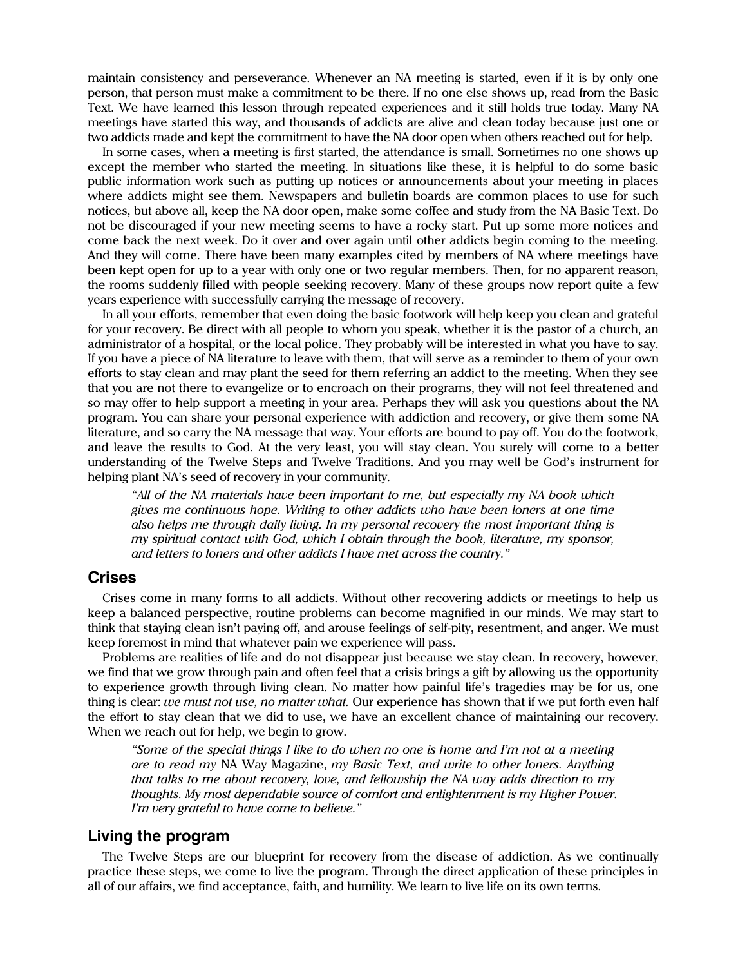maintain consistency and perseverance. Whenever an NA meeting is started, even if it is by only one person, that person must make a commitment to be there. If no one else shows up, read from the Basic Text. We have learned this lesson through repeated experiences and it still holds true today. Many NA meetings have started this way, and thousands of addicts are alive and clean today because just one or two addicts made and kept the commitment to have the NA door open when others reached out for help.

In some cases, when a meeting is first started, the attendance is small. Sometimes no one shows up except the member who started the meeting. In situations like these, it is helpful to do some basic public information work such as putting up notices or announcements about your meeting in places where addicts might see them. Newspapers and bulletin boards are common places to use for such notices, but above all, keep the NA door open, make some coffee and study from the NA Basic Text. Do not be discouraged if your new meeting seems to have a rocky start. Put up some more notices and come back the next week. Do it over and over again until other addicts begin coming to the meeting. And they will come. There have been many examples cited by members of NA where meetings have been kept open for up to a year with only one or two regular members. Then, for no apparent reason, the rooms suddenly filled with people seeking recovery. Many of these groups now report quite a few years experience with successfully carrying the message of recovery.

In all your efforts, remember that even doing the basic footwork will help keep you clean and grateful for your recovery. Be direct with all people to whom you speak, whether it is the pastor of a church, an administrator of a hospital, or the local police. They probably will be interested in what you have to say. If you have a piece of NA literature to leave with them, that will serve as a reminder to them of your own efforts to stay clean and may plant the seed for them referring an addict to the meeting. When they see that you are not there to evangelize or to encroach on their programs, they will not feel threatened and so may offer to help support a meeting in your area. Perhaps they will ask you questions about the NA program. You can share your personal experience with addiction and recovery, or give them some NA literature, and so carry the NA message that way. Your efforts are bound to pay off. You do the footwork, and leave the results to God. At the very least, you will stay clean. You surely will come to a better understanding of the Twelve Steps and Twelve Traditions. And you may well be God's instrument for helping plant NA's seed of recovery in your community.

*"All of the NA materials have been important to me, but especially my NA book which gives me continuous hope. Writing to other addicts who have been loners at one time also helps me through daily living. In my personal recovery the most important thing is my spiritual contact with God, which I obtain through the book, literature, my sponsor, and letters to loners and other addicts I have met across the country."* 

#### **Crises**

Crises come in many forms to all addicts. Without other recovering addicts or meetings to help us keep a balanced perspective, routine problems can become magnified in our minds. We may start to think that staying clean isn't paying off, and arouse feelings of self-pity, resentment, and anger. We must keep foremost in mind that whatever pain we experience will pass.

Problems are realities of life and do not disappear just because we stay clean. In recovery, however, we find that we grow through pain and often feel that a crisis brings a gift by allowing us the opportunity to experience growth through living clean. No matter how painful life's tragedies may be for us, one thing is clear: *we must not use, no matter what.* Our experience has shown that if we put forth even half the effort to stay clean that we did to use, we have an excellent chance of maintaining our recovery. When we reach out for help, we begin to grow.

*"Some of the special things I like to do when no one is home and I'm not at a meeting are to read my* NA Way Magazine, *my Basic Text, and write to other loners. Anything that talks to me about recovery, love, and fellowship the NA way adds direction to my thoughts. My most dependable source of comfort and enlightenment is my Higher Power. I'm very grateful to have come to believe."* 

### **Living the program**

The Twelve Steps are our blueprint for recovery from the disease of addiction. As we continually practice these steps, we come to live the program. Through the direct application of these principles in all of our affairs, we find acceptance, faith, and humility. We learn to live life on its own terms.